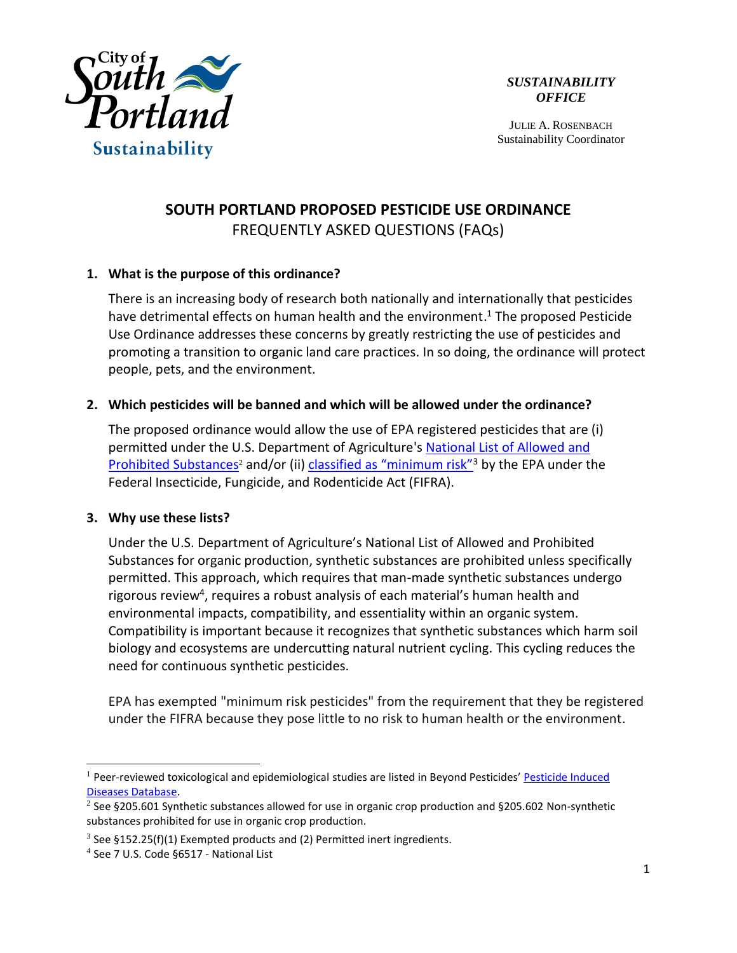

JULIE A. ROSENBACH Sustainability Coordinator

# **SOUTH PORTLAND PROPOSED PESTICIDE USE ORDINANCE** FREQUENTLY ASKED QUESTIONS (FAQs)

# **1. What is the purpose of this ordinance?**

There is an increasing body of research both nationally and internationally that pesticides have detrimental effects on human health and the environment. <sup>1</sup> The proposed Pesticide Use Ordinance addresses these concerns by greatly restricting the use of pesticides and promoting a transition to organic land care practices. In so doing, the ordinance will protect people, pets, and the environment.

# **2. Which pesticides will be banned and which will be allowed under the ordinance?**

The proposed ordinance would allow the use of EPA registered pesticides that are (i) permitted under the U.S. Department of Agriculture's [National List of Allowed and](http://www.ecfr.gov/cgi-bin/text-idx?c=ecfr&SID=9874504b6f1025eb0e6b67cadf9d3b40&rgn=div6&view=text&node=7:3.1.1.9.32.7&idno=7)  [Prohibited Substances](http://www.ecfr.gov/cgi-bin/text-idx?c=ecfr&SID=9874504b6f1025eb0e6b67cadf9d3b40&rgn=div6&view=text&node=7:3.1.1.9.32.7&idno=7)<sup>2</sup> and/or (ii) [classified as "minimum risk"](http://www.ecfr.gov/cgi-bin/text-idx?SID=ddc55ca588cdd524d0fefbce2517a76d&mc=true&node=se40.26.152_125&rgn=div8)<sup>3</sup> by the EPA under the Federal Insecticide, Fungicide, and Rodenticide Act (FIFRA).

### **3. Why use these lists?**

Under the U.S. Department of Agriculture's National List of Allowed and Prohibited Substances for organic production, synthetic substances are prohibited unless specifically permitted. This approach, which requires that man-made synthetic substances undergo rigorous review<sup>4</sup>, requires a robust analysis of each material's human health and environmental impacts, compatibility, and essentiality within an organic system. Compatibility is important because it recognizes that synthetic substances which harm soil biology and ecosystems are undercutting natural nutrient cycling. This cycling reduces the need for continuous synthetic pesticides.

EPA has exempted "minimum risk pesticides" from the requirement that they be registered under the FIFRA because they pose little to no risk to human health or the environment.

 $\overline{a}$ 

<sup>&</sup>lt;sup>1</sup> Peer-reviewed toxicological and epidemiological studies are listed in Beyond Pesticides' Pesticide Induced [Diseases Database.](http://beyondpesticides.org/resources/pesticide-induced-diseases-database/overview)

<sup>&</sup>lt;sup>2</sup> See §205.601 Synthetic substances allowed for use in organic crop production and §205.602 Non-synthetic substances prohibited for use in organic crop production.

 $3$  See §152.25(f)(1) Exempted products and (2) Permitted inert ingredients.

<sup>4</sup> See 7 U.S. Code §6517 - National List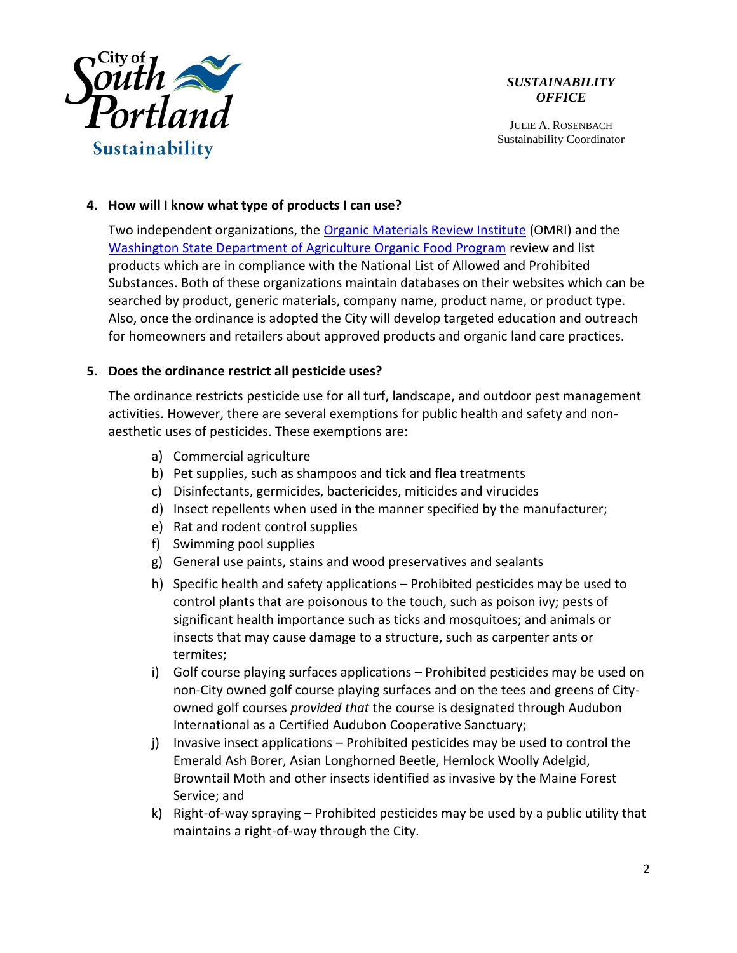

JULIE A. ROSENBACH Sustainability Coordinator

## **4. How will I know what type of products I can use?**

Two independent organizations, the [Organic Materials Review Institute](http://www.omri.org/omri-lists/download) (OMRI) and the [Washington State Department of Agriculture Organic Food Program](http://agr.wa.gov/foodanimal/organic/materialslists.aspx) review and list products which are in compliance with the National List of Allowed and Prohibited Substances. Both of these organizations maintain databases on their websites which can be searched by product, generic materials, company name, product name, or product type. Also, once the ordinance is adopted the City will develop targeted education and outreach for homeowners and retailers about approved products and organic land care practices.

# **5. Does the ordinance restrict all pesticide uses?**

The ordinance restricts pesticide use for all turf, landscape, and outdoor pest management activities. However, there are several exemptions for public health and safety and nonaesthetic uses of pesticides. These exemptions are:

- a) Commercial agriculture
- b) Pet supplies, such as shampoos and tick and flea treatments
- c) Disinfectants, germicides, bactericides, miticides and virucides
- d) Insect repellents when used in the manner specified by the manufacturer;
- e) Rat and rodent control supplies
- f) Swimming pool supplies
- g) General use paints, stains and wood preservatives and sealants
- h) Specific health and safety applications Prohibited pesticides may be used to control plants that are poisonous to the touch, such as poison ivy; pests of significant health importance such as ticks and mosquitoes; and animals or insects that may cause damage to a structure, such as carpenter ants or termites;
- i) Golf course playing surfaces applications Prohibited pesticides may be used on non-City owned golf course playing surfaces and on the tees and greens of Cityowned golf courses *provided that* the course is designated through Audubon International as a Certified Audubon Cooperative Sanctuary;
- j) Invasive insect applications Prohibited pesticides may be used to control the Emerald Ash Borer, Asian Longhorned Beetle, Hemlock Woolly Adelgid, Browntail Moth and other insects identified as invasive by the Maine Forest Service; and
- k) Right-of-way spraying Prohibited pesticides may be used by a public utility that maintains a right-of-way through the City.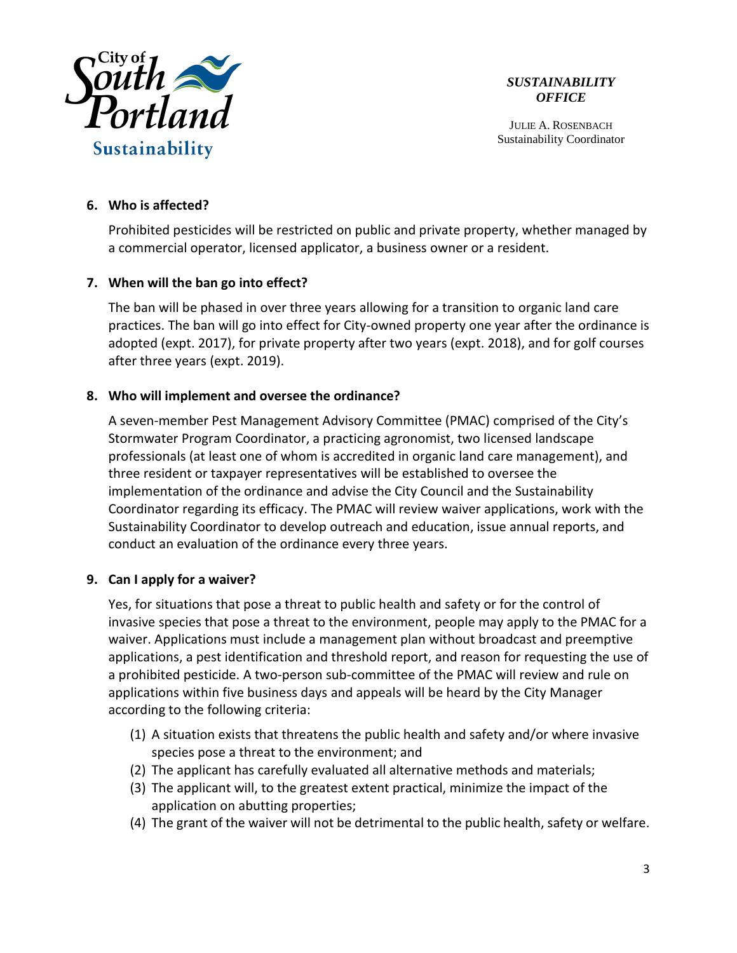

JULIE A. ROSENBACH Sustainability Coordinator

# **6. Who is affected?**

Prohibited pesticides will be restricted on public and private property, whether managed by a commercial operator, licensed applicator, a business owner or a resident.

# **7. When will the ban go into effect?**

The ban will be phased in over three years allowing for a transition to organic land care practices. The ban will go into effect for City-owned property one year after the ordinance is adopted (expt. 2017), for private property after two years (expt. 2018), and for golf courses after three years (expt. 2019).

# **8. Who will implement and oversee the ordinance?**

A seven-member Pest Management Advisory Committee (PMAC) comprised of the City's Stormwater Program Coordinator, a practicing agronomist, two licensed landscape professionals (at least one of whom is accredited in organic land care management), and three resident or taxpayer representatives will be established to oversee the implementation of the ordinance and advise the City Council and the Sustainability Coordinator regarding its efficacy. The PMAC will review waiver applications, work with the Sustainability Coordinator to develop outreach and education, issue annual reports, and conduct an evaluation of the ordinance every three years.

# **9. Can I apply for a waiver?**

Yes, for situations that pose a threat to public health and safety or for the control of invasive species that pose a threat to the environment, people may apply to the PMAC for a waiver. Applications must include a management plan without broadcast and preemptive applications, a pest identification and threshold report, and reason for requesting the use of a prohibited pesticide. A two-person sub-committee of the PMAC will review and rule on applications within five business days and appeals will be heard by the City Manager according to the following criteria:

- (1) A situation exists that threatens the public health and safety and/or where invasive species pose a threat to the environment; and
- (2) The applicant has carefully evaluated all alternative methods and materials;
- (3) The applicant will, to the greatest extent practical, minimize the impact of the application on abutting properties;
- (4) The grant of the waiver will not be detrimental to the public health, safety or welfare.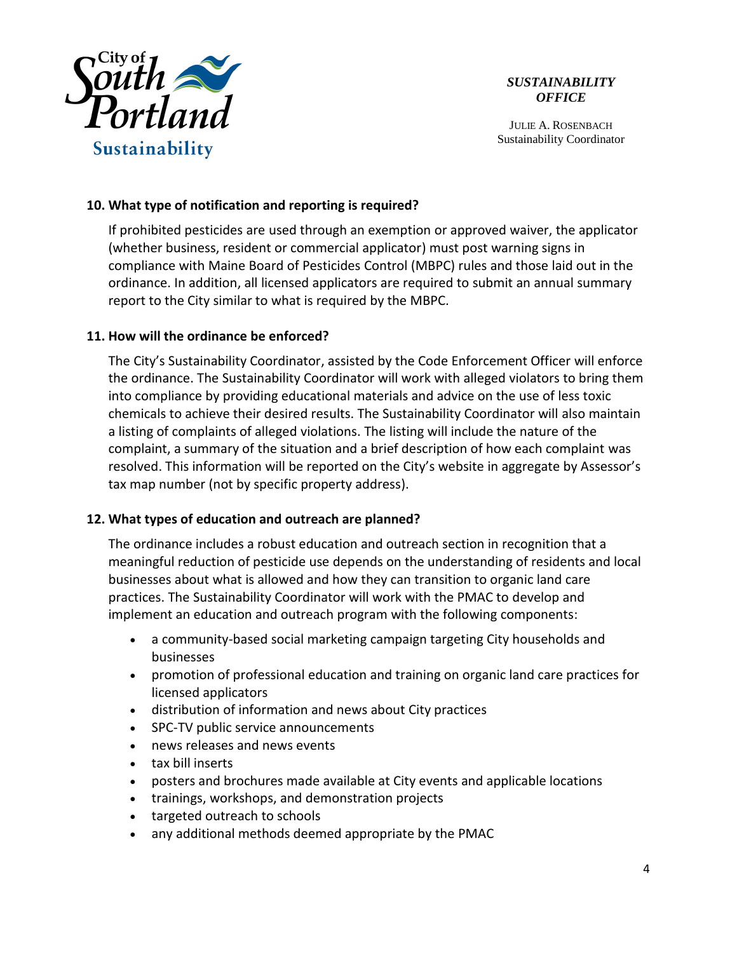

JULIE A. ROSENBACH Sustainability Coordinator

# **10. What type of notification and reporting is required?**

If prohibited pesticides are used through an exemption or approved waiver, the applicator (whether business, resident or commercial applicator) must post warning signs in compliance with Maine Board of Pesticides Control (MBPC) rules and those laid out in the ordinance. In addition, all licensed applicators are required to submit an annual summary report to the City similar to what is required by the MBPC.

### **11. How will the ordinance be enforced?**

The City's Sustainability Coordinator, assisted by the Code Enforcement Officer will enforce the ordinance. The Sustainability Coordinator will work with alleged violators to bring them into compliance by providing educational materials and advice on the use of less toxic chemicals to achieve their desired results. The Sustainability Coordinator will also maintain a listing of complaints of alleged violations. The listing will include the nature of the complaint, a summary of the situation and a brief description of how each complaint was resolved. This information will be reported on the City's website in aggregate by Assessor's tax map number (not by specific property address).

# **12. What types of education and outreach are planned?**

The ordinance includes a robust education and outreach section in recognition that a meaningful reduction of pesticide use depends on the understanding of residents and local businesses about what is allowed and how they can transition to organic land care practices. The Sustainability Coordinator will work with the PMAC to develop and implement an education and outreach program with the following components:

- a community-based social marketing campaign targeting City households and businesses
- promotion of professional education and training on organic land care practices for licensed applicators
- distribution of information and news about City practices
- SPC-TV public service announcements
- news releases and news events
- tax bill inserts
- posters and brochures made available at City events and applicable locations
- trainings, workshops, and demonstration projects
- targeted outreach to schools
- any additional methods deemed appropriate by the PMAC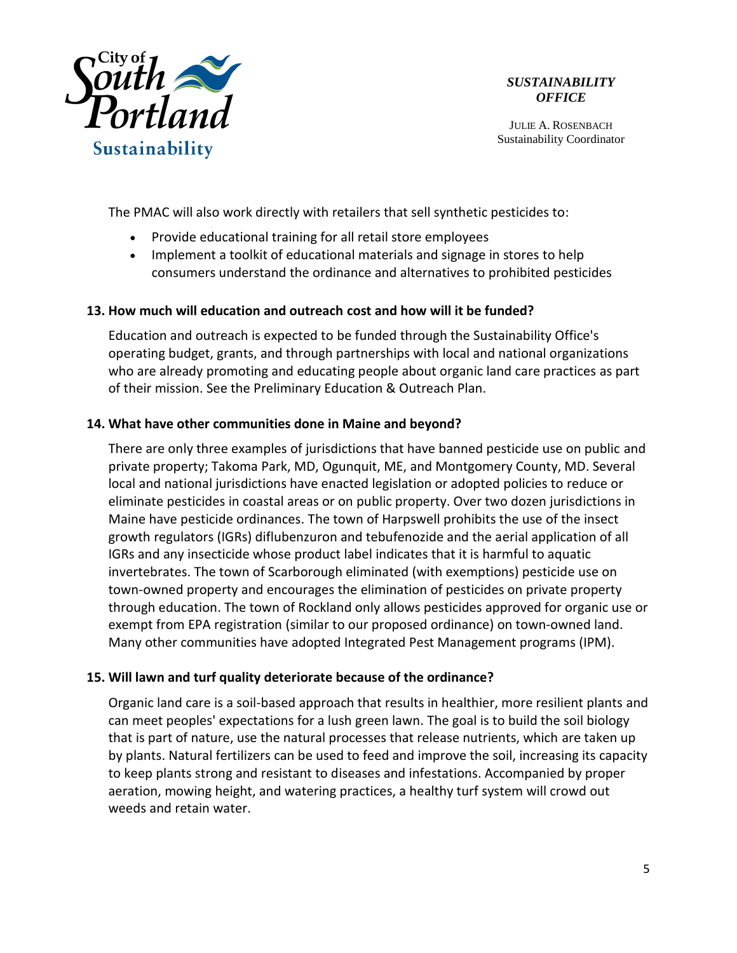

JULIE A. ROSENBACH Sustainability Coordinator

The PMAC will also work directly with retailers that sell synthetic pesticides to:

- Provide educational training for all retail store employees
- Implement a toolkit of educational materials and signage in stores to help consumers understand the ordinance and alternatives to prohibited pesticides

### **13. How much will education and outreach cost and how will it be funded?**

Education and outreach is expected to be funded through the Sustainability Office's operating budget, grants, and through partnerships with local and national organizations who are already promoting and educating people about organic land care practices as part of their mission. See the Preliminary Education & Outreach Plan.

#### **14. What have other communities done in Maine and beyond?**

There are only three examples of jurisdictions that have banned pesticide use on public and private property; Takoma Park, MD, Ogunquit, ME, and Montgomery County, MD. Several local and national jurisdictions have enacted legislation or adopted policies to reduce or eliminate pesticides in coastal areas or on public property. Over two dozen jurisdictions in Maine have pesticide ordinances. The town of Harpswell prohibits the use of the insect growth regulators (IGRs) diflubenzuron and tebufenozide and the aerial application of all IGRs and any insecticide whose product label indicates that it is harmful to aquatic invertebrates. The town of Scarborough eliminated (with exemptions) pesticide use on town-owned property and encourages the elimination of pesticides on private property through education. The town of Rockland only allows pesticides approved for organic use or exempt from EPA registration (similar to our proposed ordinance) on town-owned land. Many other communities have adopted Integrated Pest Management programs (IPM).

### **15. Will lawn and turf quality deteriorate because of the ordinance?**

Organic land care is a soil-based approach that results in healthier, more resilient plants and can meet peoples' expectations for a lush green lawn. The goal is to build the soil biology that is part of nature, use the natural processes that release nutrients, which are taken up by plants. Natural fertilizers can be used to feed and improve the soil, increasing its capacity to keep plants strong and resistant to diseases and infestations. Accompanied by proper aeration, mowing height, and watering practices, a healthy turf system will crowd out weeds and retain water.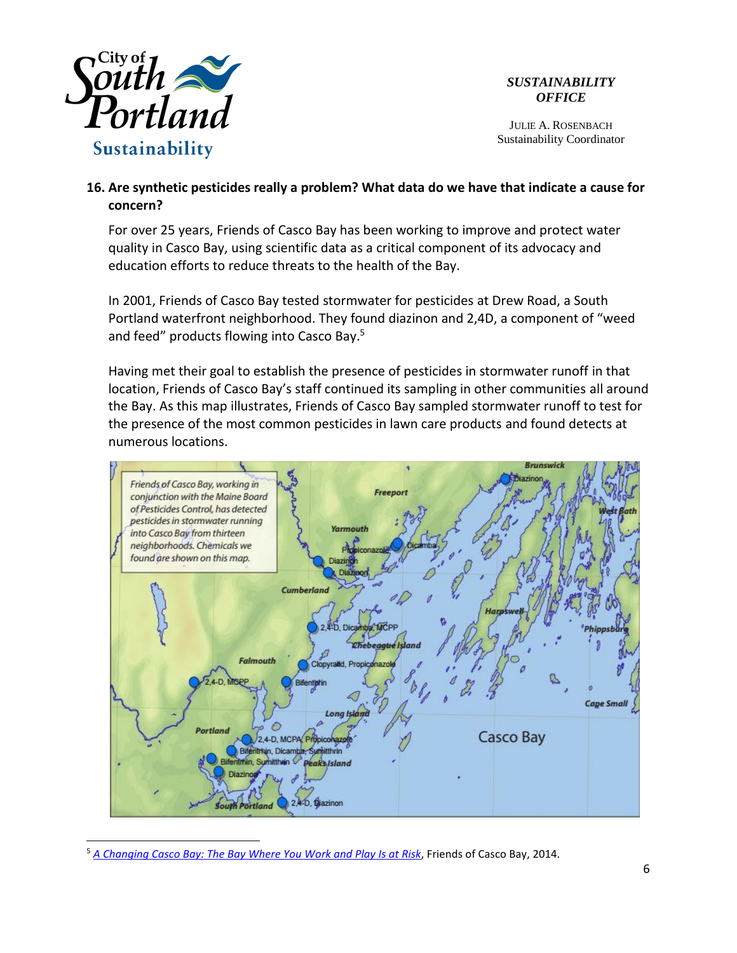

 $\overline{a}$ 

*SUSTAINABILITY OFFICE*

JULIE A. ROSENBACH Sustainability Coordinator

# **16. Are synthetic pesticides really a problem? What data do we have that indicate a cause for concern?**

For over 25 years, Friends of Casco Bay has been working to improve and protect water quality in Casco Bay, using scientific data as a critical component of its advocacy and education efforts to reduce threats to the health of the Bay.

In 2001, Friends of Casco Bay tested stormwater for pesticides at Drew Road, a South Portland waterfront neighborhood. They found diazinon and 2,4D, a component of "weed and feed" products flowing into Casco Bay.<sup>5</sup>

Having met their goal to establish the presence of pesticides in stormwater runoff in that location, Friends of Casco Bay's staff continued its sampling in other communities all around the Bay. As this map illustrates, Friends of Casco Bay sampled stormwater runoff to test for the presence of the most common pesticides in lawn care products and found detects at numerous locations.



<sup>5</sup> *[A Changing Casco Bay: The Bay Where You Work and Play Is at Risk](https://drive.google.com/file/d/0B_dTKz-k7OLmQzRlWGxFaXhwNGM/view)*, Friends of Casco Bay, 2014.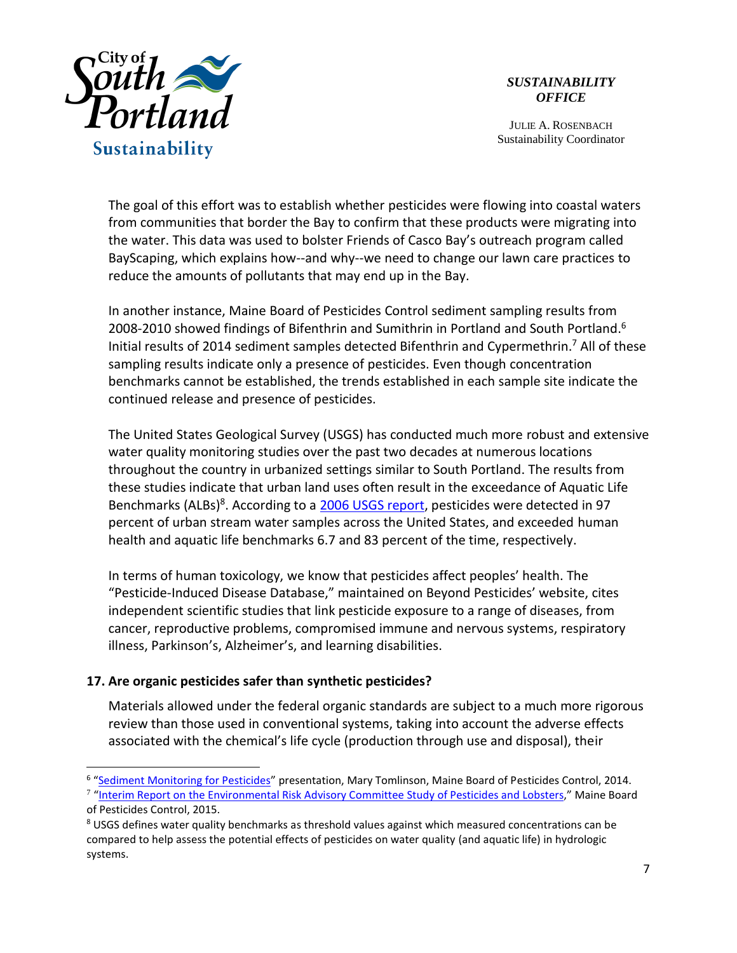

JULIE A. ROSENBACH Sustainability Coordinator

The goal of this effort was to establish whether pesticides were flowing into coastal waters from communities that border the Bay to confirm that these products were migrating into the water. This data was used to bolster Friends of Casco Bay's outreach program called BayScaping, which explains how--and why--we need to change our lawn care practices to reduce the amounts of pollutants that may end up in the Bay.

In another instance, Maine Board of Pesticides Control sediment sampling results from 2008-2010 showed findings of Bifenthrin and Sumithrin in Portland and South Portland.<sup>6</sup> Initial results of 2014 sediment samples detected Bifenthrin and Cypermethrin.<sup>7</sup> All of these sampling results indicate only a presence of pesticides. Even though concentration benchmarks cannot be established, the trends established in each sample site indicate the continued release and presence of pesticides.

The United States Geological Survey (USGS) has conducted much more robust and extensive water quality monitoring studies over the past two decades at numerous locations throughout the country in urbanized settings similar to South Portland. The results from these studies indicate that urban land uses often result in the exceedance of Aquatic Life Benchmarks (ALBs)<sup>8</sup>. According to a 2006 [USGS report,](https://pubs.usgs.gov/circ/2005/1291/pdf/circ1291.pdf) pesticides were detected in 97 percent of urban stream water samples across the United States, and exceeded human health and aquatic life benchmarks 6.7 and 83 percent of the time, respectively.

In terms of human toxicology, we know that pesticides affect peoples' health. The "Pesticide-Induced Disease Database," maintained on Beyond Pesticides' website, cites independent scientific studies that link pesticide exposure to a range of diseases, from cancer, reproductive problems, compromised immune and nervous systems, respiratory illness, Parkinson's, Alzheimer's, and learning disabilities.

# **17. Are organic pesticides safer than synthetic pesticides?**

 $\overline{a}$ 

Materials allowed under the federal organic standards are subject to a much more rigorous review than those used in conventional systems, taking into account the adverse effects associated with the chemical's life cycle (production through use and disposal), their

<sup>&</sup>lt;sup>6</sup> "[Sediment Monitoring for Pesticides](http://www.maine.gov/dacf/php/pesticides/documents2/erac/ERAC_4-18-2014_Sediment_Monitoring.pdf)" presentation, Mary Tomlinson, Maine Board of Pesticides Control, 2014.

<sup>&</sup>lt;sup>7</sup> "Interim Report on [the Environmental Risk Advisory Committee Study of Pesticides and Lobsters,](http://www.maine.gov/dacf/php/pesticides/documents2/erac/2015%20ERAC%20Report%20to%20Legislature-final-1-15-with-appendices.pdf)" Maine Board of Pesticides Control, 2015.

<sup>&</sup>lt;sup>8</sup> USGS defines water quality benchmarks as threshold values against which measured concentrations can be compared to help assess the potential effects of pesticides on water quality (and aquatic life) in hydrologic systems.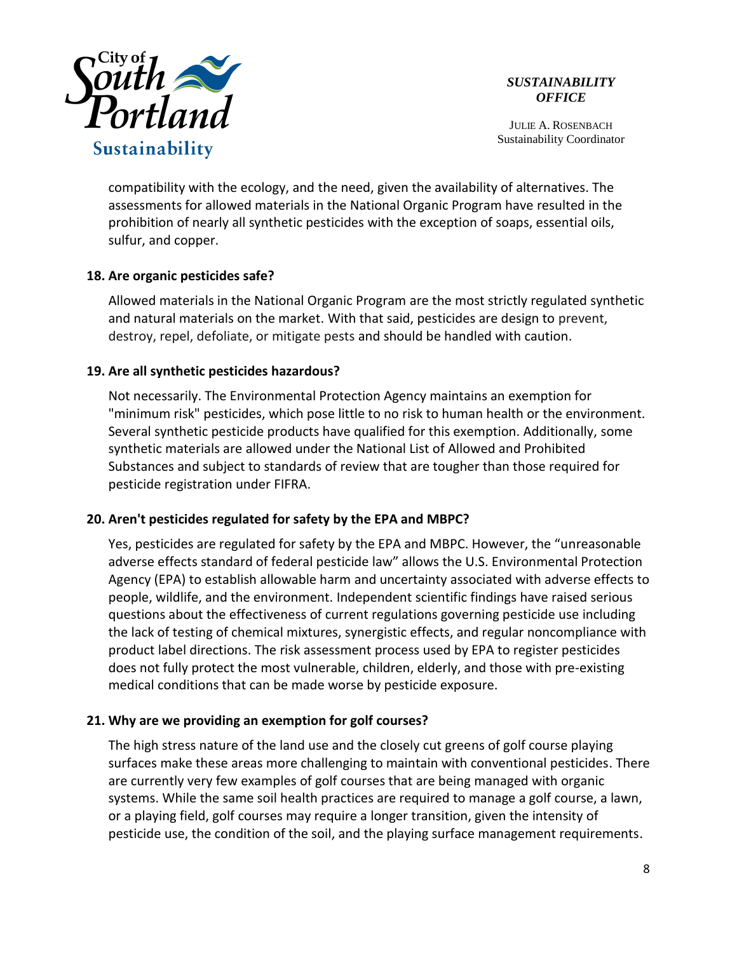

JULIE A. ROSENBACH Sustainability Coordinator

compatibility with the ecology, and the need, given the availability of alternatives. The assessments for allowed materials in the National Organic Program have resulted in the prohibition of nearly all synthetic pesticides with the exception of soaps, essential oils, sulfur, and copper.

### **18. Are organic pesticides safe?**

Allowed materials in the National Organic Program are the most strictly regulated synthetic and natural materials on the market. With that said, pesticides are design to prevent, destroy, repel, defoliate, or mitigate pests and should be handled with caution.

# **19. Are all synthetic pesticides hazardous?**

Not necessarily. The Environmental Protection Agency maintains an exemption for "minimum risk" pesticides, which pose little to no risk to human health or the environment. Several synthetic pesticide products have qualified for this exemption. Additionally, some synthetic materials are allowed under the National List of Allowed and Prohibited Substances and subject to standards of review that are tougher than those required for pesticide registration under FIFRA.

### **20. Aren't pesticides regulated for safety by the EPA and MBPC?**

Yes, pesticides are regulated for safety by the EPA and MBPC. However, the "unreasonable adverse effects standard of federal pesticide law" allows the U.S. Environmental Protection Agency (EPA) to establish allowable harm and uncertainty associated with adverse effects to people, wildlife, and the environment. Independent scientific findings have raised serious questions about the effectiveness of current regulations governing pesticide use including the lack of testing of chemical mixtures, synergistic effects, and regular noncompliance with product label directions. The risk assessment process used by EPA to register pesticides does not fully protect the most vulnerable, children, elderly, and those with pre-existing medical conditions that can be made worse by pesticide exposure.

### **21. Why are we providing an exemption for golf courses?**

The high stress nature of the land use and the closely cut greens of golf course playing surfaces make these areas more challenging to maintain with conventional pesticides. There are currently very few examples of golf courses that are being managed with organic systems. While the same soil health practices are required to manage a golf course, a lawn, or a playing field, golf courses may require a longer transition, given the intensity of pesticide use, the condition of the soil, and the playing surface management requirements.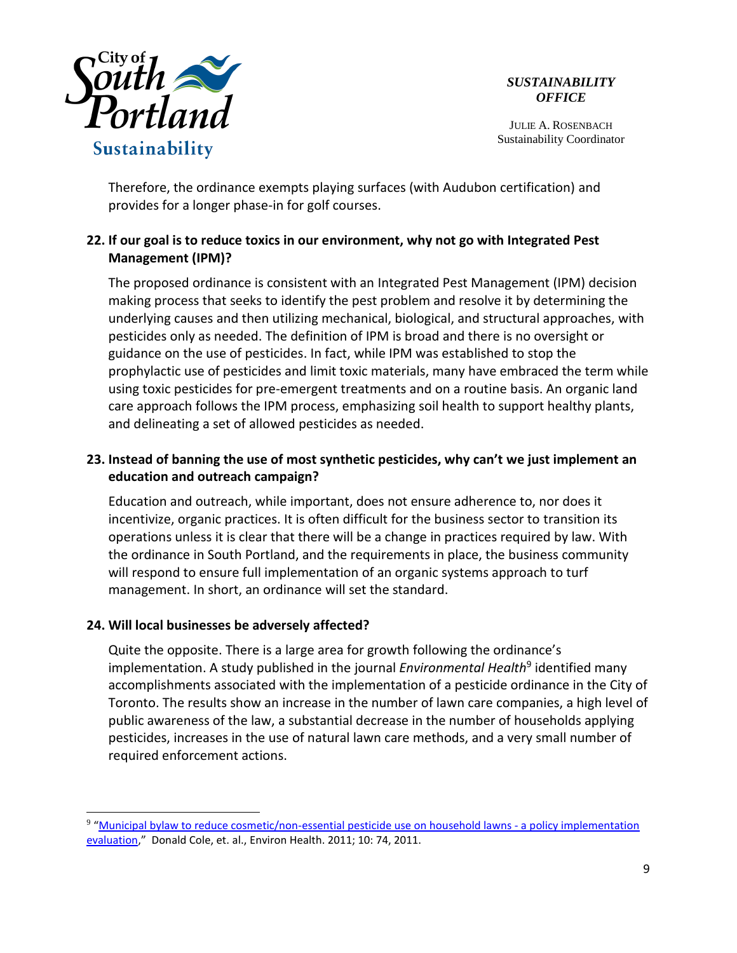

JULIE A. ROSENBACH Sustainability Coordinator

Therefore, the ordinance exempts playing surfaces (with Audubon certification) and provides for a longer phase-in for golf courses.

# **22. If our goal is to reduce toxics in our environment, why not go with Integrated Pest Management (IPM)?**

The proposed ordinance is consistent with an Integrated Pest Management (IPM) decision making process that seeks to identify the pest problem and resolve it by determining the underlying causes and then utilizing mechanical, biological, and structural approaches, with pesticides only as needed. The definition of IPM is broad and there is no oversight or guidance on the use of pesticides. In fact, while IPM was established to stop the prophylactic use of pesticides and limit toxic materials, many have embraced the term while using toxic pesticides for pre-emergent treatments and on a routine basis. An organic land care approach follows the IPM process, emphasizing soil health to support healthy plants, and delineating a set of allowed pesticides as needed.

# **23. Instead of banning the use of most synthetic pesticides, why can't we just implement an education and outreach campaign?**

Education and outreach, while important, does not ensure adherence to, nor does it incentivize, organic practices. It is often difficult for the business sector to transition its operations unless it is clear that there will be a change in practices required by law. With the ordinance in South Portland, and the requirements in place, the business community will respond to ensure full implementation of an organic systems approach to turf management. In short, an ordinance will set the standard.

# **24. Will local businesses be adversely affected?**

 $\overline{a}$ 

Quite the opposite. There is a large area for growth following the ordinance's implementation. A study published in the journal *Environmental Health*<sup>9</sup> identified many accomplishments associated with the implementation of a pesticide ordinance in the City of Toronto. The results show an increase in the number of lawn care companies, a high level of public awareness of the law, a substantial decrease in the number of households applying pesticides, increases in the use of natural lawn care methods, and a very small number of required enforcement actions.

<sup>&</sup>lt;sup>9</sup> "[Municipal bylaw to reduce cosmetic/non-essential pesticide use on household lawns -](http://www.ncbi.nlm.nih.gov/pmc/articles/PMC3224547/) a policy implementation [evaluation,](http://www.ncbi.nlm.nih.gov/pmc/articles/PMC3224547/)" Donald Cole, et. al., Environ Health. 2011; 10: 74, 2011.